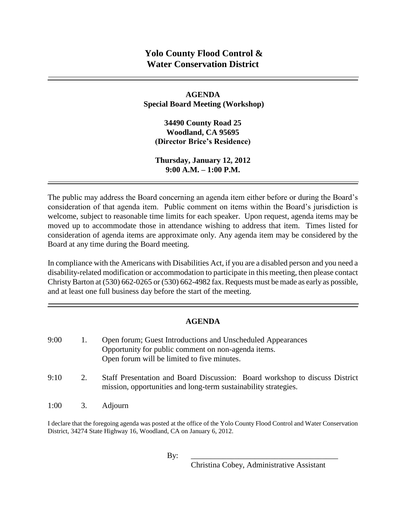**AGENDA Special Board Meeting (Workshop)**

**34490 County Road 25 Woodland, CA 95695 (Director Brice's Residence)**

**Thursday, January 12, 2012 9:00 A.M. – 1:00 P.M.**

The public may address the Board concerning an agenda item either before or during the Board's consideration of that agenda item. Public comment on items within the Board's jurisdiction is welcome, subject to reasonable time limits for each speaker. Upon request, agenda items may be moved up to accommodate those in attendance wishing to address that item. Times listed for consideration of agenda items are approximate only. Any agenda item may be considered by the Board at any time during the Board meeting.

In compliance with the Americans with Disabilities Act, if you are a disabled person and you need a disability-related modification or accommodation to participate in this meeting, then please contact Christy Barton at (530) 662-0265 or (530) 662-4982 fax. Requests must be made as early as possible, and at least one full business day before the start of the meeting.

## **AGENDA**

| 9:00 |    | Open forum; Guest Introductions and Unscheduled Appearances<br>Opportunity for public comment on non-agenda items.<br>Open forum will be limited to five minutes. |
|------|----|-------------------------------------------------------------------------------------------------------------------------------------------------------------------|
| 9:10 | 2. | Staff Presentation and Board Discussion: Board workshop to discuss District<br>mission, opportunities and long-term sustainability strategies.                    |

1:00 3. Adjourn

I declare that the foregoing agenda was posted at the office of the Yolo County Flood Control and Water Conservation District, 34274 State Highway 16, Woodland, CA on January 6, 2012.

By: \_\_\_\_\_\_\_\_\_\_\_\_\_\_\_\_\_\_\_\_\_\_\_\_\_\_\_\_\_\_\_\_\_\_\_\_\_

Christina Cobey, Administrative Assistant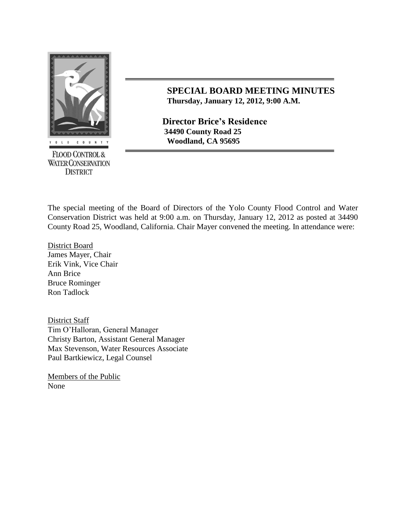

**FLOOD CONTROL & WATER CONSERVATION DISTRICT** 

## **SPECIAL BOARD MEETING MINUTES Thursday, January 12, 2012, 9:00 A.M.**

**Director Brice's Residence 34490 County Road 25 Woodland, CA 95695** 

The special meeting of the Board of Directors of the Yolo County Flood Control and Water Conservation District was held at 9:00 a.m. on Thursday, January 12, 2012 as posted at 34490 County Road 25, Woodland, California. Chair Mayer convened the meeting. In attendance were:

District Board James Mayer, Chair Erik Vink, Vice Chair Ann Brice Bruce Rominger Ron Tadlock

District Staff Tim O'Halloran, General Manager Christy Barton, Assistant General Manager Max Stevenson, Water Resources Associate Paul Bartkiewicz, Legal Counsel

Members of the Public None